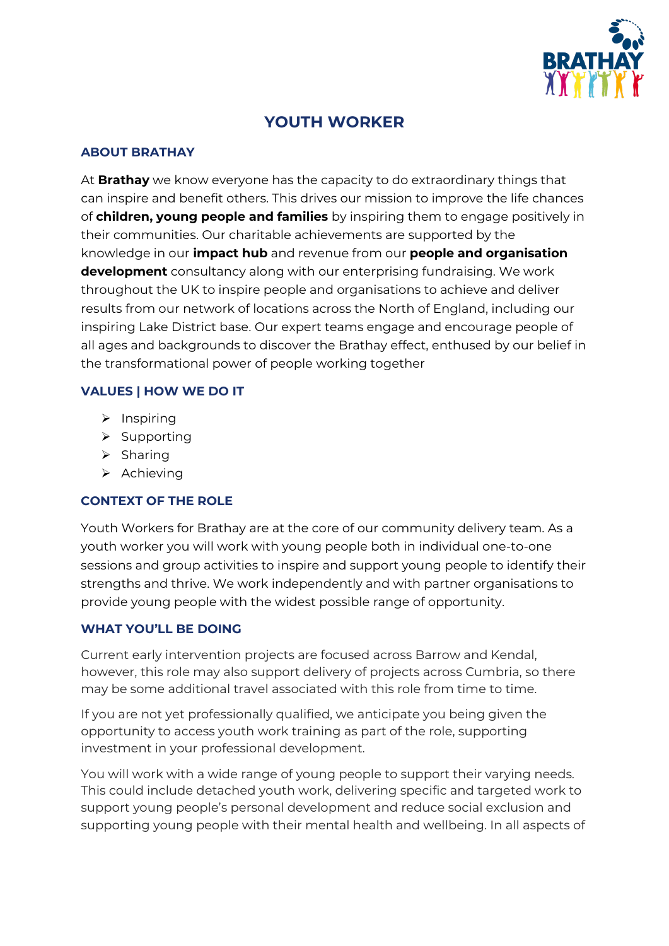

# **YOUTH WORKER**

#### **ABOUT BRATHAY**

At **Brathay** we know everyone has the capacity to do extraordinary things that can inspire and benefit others. This drives our mission to improve the life chances of **children, young people and families** by inspiring them to engage positively in their communities. Our charitable achievements are supported by the knowledge in our **impact hub** and revenue from our **people and organisation development** consultancy along with our enterprising fundraising. We work throughout the UK to inspire people and organisations to achieve and deliver results from our network of locations across the North of England, including our inspiring Lake District base. Our expert teams engage and encourage people of all ages and backgrounds to discover the Brathay effect, enthused by our belief in the transformational power of people working together

### **VALUES | HOW WE DO IT**

- $\triangleright$  Inspiring
- $\triangleright$  Supporting
- $\triangleright$  Sharing
- $\triangleright$  Achieving

## **CONTEXT OF THE ROLE**

Youth Workers for Brathay are at the core of our community delivery team. As a youth worker you will work with young people both in individual one-to-one sessions and group activities to inspire and support young people to identify their strengths and thrive. We work independently and with partner organisations to provide young people with the widest possible range of opportunity.

## **WHAT YOU'LL BE DOING**

Current early intervention projects are focused across Barrow and Kendal, however, this role may also support delivery of projects across Cumbria, so there may be some additional travel associated with this role from time to time.

If you are not yet professionally qualified, we anticipate you being given the opportunity to access youth work training as part of the role, supporting investment in your professional development.

You will work with a wide range of young people to support their varying needs. This could include detached youth work, delivering specific and targeted work to support young people's personal development and reduce social exclusion and supporting young people with their mental health and wellbeing. In all aspects of